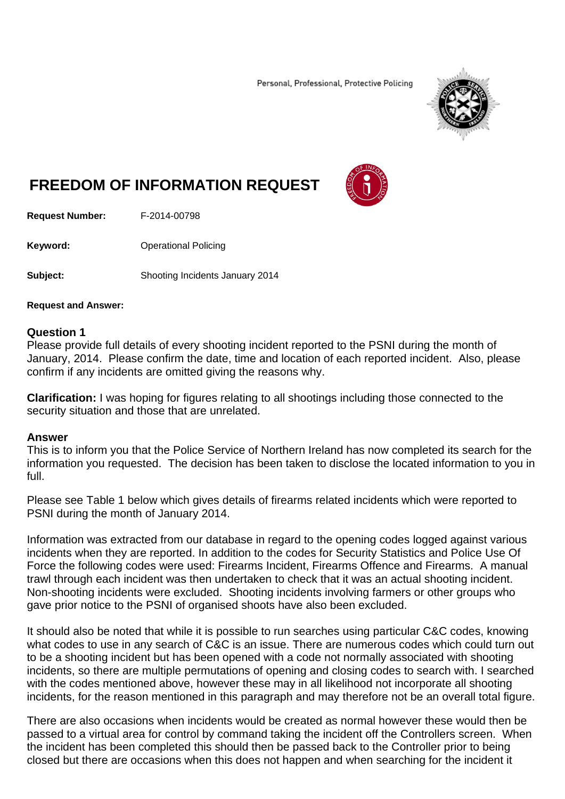Personal, Professional, Protective Policing



# **FREEDOM OF INFORMATION REQUEST**



**Request Number:** F-2014-00798

**Keyword: C**Derational Policing

**Subject:** Shooting Incidents January 2014

#### **Request and Answer:**

### **Question 1**

Please provide full details of every shooting incident reported to the PSNI during the month of January, 2014. Please confirm the date, time and location of each reported incident. Also, please confirm if any incidents are omitted giving the reasons why.

**Clarification:** I was hoping for figures relating to all shootings including those connected to the security situation and those that are unrelated.

### **Answer**

This is to inform you that the Police Service of Northern Ireland has now completed its search for the information you requested. The decision has been taken to disclose the located information to you in full.

Please see Table 1 below which gives details of firearms related incidents which were reported to PSNI during the month of January 2014.

Information was extracted from our database in regard to the opening codes logged against various incidents when they are reported. In addition to the codes for Security Statistics and Police Use Of Force the following codes were used: Firearms Incident, Firearms Offence and Firearms. A manual trawl through each incident was then undertaken to check that it was an actual shooting incident. Non-shooting incidents were excluded. Shooting incidents involving farmers or other groups who gave prior notice to the PSNI of organised shoots have also been excluded.

It should also be noted that while it is possible to run searches using particular C&C codes, knowing what codes to use in any search of C&C is an issue. There are numerous codes which could turn out to be a shooting incident but has been opened with a code not normally associated with shooting incidents, so there are multiple permutations of opening and closing codes to search with. I searched with the codes mentioned above, however these may in all likelihood not incorporate all shooting incidents, for the reason mentioned in this paragraph and may therefore not be an overall total figure.

There are also occasions when incidents would be created as normal however these would then be passed to a virtual area for control by command taking the incident off the Controllers screen. When the incident has been completed this should then be passed back to the Controller prior to being closed but there are occasions when this does not happen and when searching for the incident it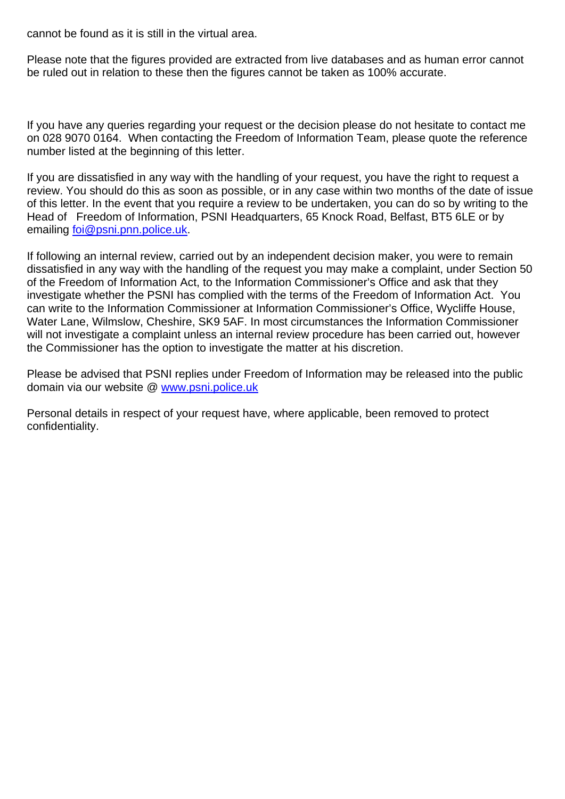cannot be found as it is still in the virtual area.

Please note that the figures provided are extracted from live databases and as human error cannot be ruled out in relation to these then the figures cannot be taken as 100% accurate.

If you have any queries regarding your request or the decision please do not hesitate to contact me on 028 9070 0164. When contacting the Freedom of Information Team, please quote the reference number listed at the beginning of this letter.

If you are dissatisfied in any way with the handling of your request, you have the right to request a review. You should do this as soon as possible, or in any case within two months of the date of issue of this letter. In the event that you require a review to be undertaken, you can do so by writing to the Head of Freedom of Information, PSNI Headquarters, 65 Knock Road, Belfast, BT5 6LE or by emailing foi@psni.pnn.police.uk.

If following an internal review, carried out by an independent decision maker, you were to remain dissatisfied in any way with the handling of the request you may make a complaint, under Section 50 of the Freedom of Information Act, to the Information Commissioner's Office and ask that they investigate whether the PSNI has complied with the terms of the Freedom of Information Act. You can write to the Information Commissioner at Information Commissioner's Office, Wycliffe House, Water Lane, Wilmslow, Cheshire, SK9 5AF. In most circumstances the Information Commissioner will not investigate a complaint unless an internal review procedure has been carried out, however the Commissioner has the option to investigate the matter at his discretion.

Please be advised that PSNI replies under Freedom of Information may be released into the public domain via our website @ www.psni.police.uk

Personal details in respect of your request have, where applicable, been removed to protect confidentiality.